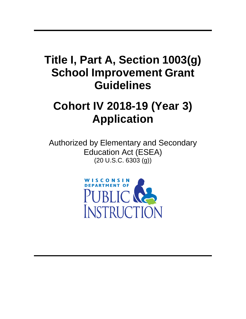# **Title I, Part A, Section 1003(g) School Improvement Grant Guidelines**

# **Cohort IV 2018-19 (Year 3) Application**

Authorized by Elementary and Secondary Education Act (ESEA) (20 U.S.C. 6303 (g))

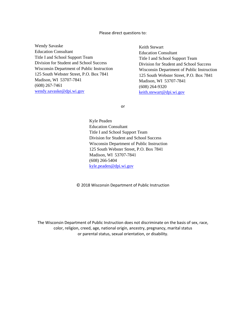#### Please direct questions to:

Wendy Savaske Education Consultant Title I and School Support Team Division for Student and School Success Wisconsin Department of Public Instruction 125 South Webster Street, P.O. Box 7841 Madison, WI 53707-7841 (608) 267-7461 [wendy.savaske@dpi.wi.gov](mailto:wendy.savaske@dpi.wi.gov)

Keith Stewart Education Consultant Title I and School Support Team Division for Student and School Success Wisconsin Department of Public Instruction 125 South Webster Street, P.O. Box 7841 Madison, WI 53707-7841 (608) 264-9320 [keith.stewart@dpi.wi.gov](mailto:keith.stewart@dpi.wi.gov)

or

Kyle Peaden Education Consultant Title I and School Support Team Division for Student and School Success Wisconsin Department of Public Instruction 125 South Webster Street, P.O. Box 7841 Madison, WI 53707-7841 (608) 266-5404 [kyle.peaden@dpi.wi.gov](mailto:kyle.peaden@dpi.wi.gov)

© 2018 Wisconsin Department of Public Instruction

The Wisconsin Department of Public Instruction does not discriminate on the basis of sex, race, color, religion, creed, age, national origin, ancestry, pregnancy, marital status or parental status, sexual orientation, or disability.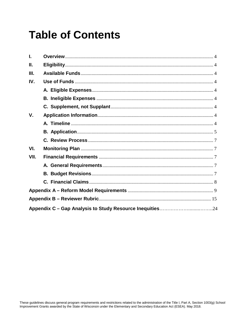# **Table of Contents**

| L           |  |
|-------------|--|
| Ш.          |  |
| III.        |  |
| IV.         |  |
|             |  |
|             |  |
|             |  |
| $V_{\cdot}$ |  |
|             |  |
|             |  |
|             |  |
| VI.         |  |
| VII.        |  |
|             |  |
|             |  |
|             |  |
|             |  |
|             |  |
|             |  |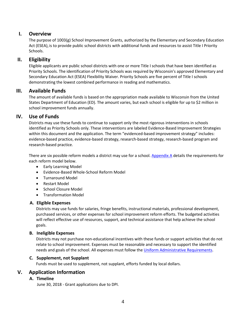### **I. Overview**

The purpose of 1003(g) School Improvement Grants, authorized by the Elementary and Secondary Education Act (ESEA), is to provide public school districts with additional funds and resources to assist Title I Priority Schools.

### **II. Eligibility**

Eligible applicants are public school districts with one or more Title I schools that have been identified as Priority Schools. The identification of Priority Schools was required by Wisconsin's approved Elementary and Secondary Education Act (ESEA) Flexibility Waiver. Priority Schools are five percent of Title I schools demonstrating the lowest combined performance in reading and mathematics.

### **III. Available Funds**

The amount of available funds is based on the appropriation made available to Wisconsin from the United States Department of Education (ED). The amount varies, but each school is eligible for up to \$2 million in school improvement funds annually.

### **IV. Use of Funds**

Districts may use these funds to continue to support only the most rigorous interventions in schools identified as Priority Schools only. These interventions are labeled Evidence-Based Improvement Strategies within this document and the application. The term "evidenced-based improvement strategy" includes: evidence-based practice, evidence-based strategy, research-based strategy, research-based program and research-based practice.

There are six possible reform models a district may use for a school. [Appendix](#page-8-0) A details the requirements for each reform model below.

- Early Learning Model
- Evidence-Based Whole-School Reform Model
- Turnaround Model
- Restart Model
- School Closure Model
- Transformation Model

### **A. Eligible Expenses**

Districts may use funds for salaries, fringe benefits, instructional materials, professional development, purchased services, or other expenses for school improvement reform efforts. The budgeted activities will reflect effective use of resources, support, and technical assistance that help achieve the school goals.

### **B. Ineligible Expenses**

Districts may not purchase non-educational incentives with these funds or support activities that do not relate to school improvement. Expenses must be reasonable and necessary to support the identified needs and goals of the school. All expenses must follow the [Uniform Administrative Requirements.](https://www.gpo.gov/fdsys/pkg/FR-2013-12-26/pdf/2013-30465.pdf)

### **C. Supplement, not Supplant**

Funds must be used to supplement, not supplant, efforts funded by local dollars.

### **V. Application Information**

### **A. Timeline**

June 30, 2018 - Grant applications due to DPI.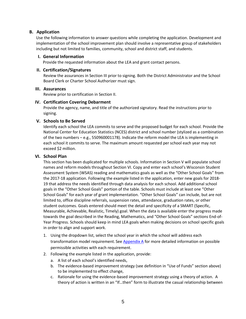### **B. Application**

Use the following information to answer questions while completing the application. Development and implementation of the school improvement plan should involve a representative group of stakeholders including but not limited to families, community, school and district staff, and students.

### **I. General Information**

Provide the requested information about the LEA and grant contact persons.

### **II. Certification/Signatures**

Review the assurances in Section III prior to signing. Both the District Administrator and the School Board Clerk or Charter School Authorizer must sign.

### **III. Assurances**

Review prior to certification in Section II.

### **IV. Certification Covering Debarment**

Provide the agency, name, and title of the authorized signatory. Read the instructions prior to signing.

### **V. Schools to Be Served**

Identify each school the LEA commits to serve and the proposed budget for each school. Provide the National Center for Education Statistics (NCES) district and school number (stylized as a combination of the two numbers – e.g., 550960001178). Indicate the reform model the LEA is implementing in each school it commits to serve. The maximum amount requested per school each year may not exceed \$2 million.

### **VI. School Plan**

This section has been duplicated for multiple schools. Information in Section V will populate school names and reform models throughout Section VI. Copy and enter each school's Wisconsin Student Assessment System (WSAS) reading and mathematics goals as well as the "Other School Goals" from the 2017-18 application. Following the example listed in the application, enter new goals for 2018- 19 that address the needs identified through data analysis for each school. Add additional school goals in the "Other School Goals" portion of the table. Schools must include at least one "Other School Goals" for each year of grant implementation. "Other School Goals" can include, but are not limited to, office discipline referrals, suspension rates, attendance, graduation rates, or other student outcomes. Goals entered should meet the detail and specificity of a SMART (Specific, Measurable, Achievable, Realistic, Timely) goal. When the data is available enter the progress made towards the goal described in the Reading, Mathematics, and "Other School Goals" sections End-of-Year Progress. Schools should keep in mind LEA goals when making decisions on school specific goals in order to align and support work.

- 1. Using the dropdown list, select the school year in which the school will address each transformation model requirement. See [Appendix A](#page-8-1) for more detailed information on possible permissible activities with each requirement.
- 2. Following the example listed in the application, provide:
	- a. A list of each school's identified needs,
	- b. The evidence-based improvement strategy (see definition in "Use of Funds" section above) to be implemented to effect change,
	- c. Rationale for using the evidence-based improvement strategy using a theory of action. A theory of action is written in an "If…then" form to illustrate the casual relationship between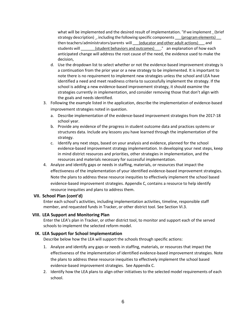what will be implemented and the desired result of implementation. "If we implement \_ (brief strategy description) \_, including the following specific components \_\_\_\_(program elements) then teachers/administrators/parents will <u>educator and other adult actions</u>) and students will \_\_\_\_\_\_\_\_\_(student behaviors and outcomes)\_\_\_\_." an explanation of how each anticipated change will address the root cause of the need, the evidence used to make the decision,

- d. Use the dropdown list to select whether or not the evidence-based improvement strategy is a continuation from the prior year or a new strategy to be implemented. It is important to note there is no requirement to implement new strategies unless the school and LEA have identified a need and meet readiness criteria to successfully implement the strategy. If the school is adding a new evidence-based improvement strategy, it should examine the strategies currently in implementation, and consider removing those that don't align with the goals and needs identified.
- 3. Following the example listed in the application, describe the implementation of evidence-based improvement strategies noted in question.
	- a. Describe implementation of the evidence-based improvement strategies from the 2017-18 school year.
	- b. Provide any evidence of the progress in student outcome data and practices systems or structures data. Include any lessons you have learned through the implementation of the strategy.
	- c. Identify any next steps, based on your analysis and evidence, planned for the school evidence-based improvement strategy implementation. In developing your next steps, keep in mind district resources and priorities, other strategies in implementation, and the resources and materials necessary for successful implementation.
- 4. Analyze and identify gaps or needs in staffing, materials, or resources that impact the effectiveness of the implementation of your identified evidence-based improvement strategies. Note the plans to address these resource inequities to effectively implement the school based evidence-based improvement strategies. Appendix C, contains a resource to help identify resource inequities and plans to address them.

#### **VII. School Plan (cont'd)**

Enter each school's activities, including implementation activities, timeline, responsible staff member, and requested funds in Tracker, or other district tool. See Section VI.3.

### **VIII. LEA Support and Monitoring Plan**

Enter the LEA's plan in Tracker, or other district tool, to monitor and support each of the served schools to implement the selected reform model.

#### **IX. LEA Support for School Implementation**

Describe below how the LEA will support the schools through specific actions:

- 1. Analyze and identify any gaps or needs in staffing, materials, or resources that impact the effectiveness of the implementation of identified evidence-based improvement strategies. Note the plans to address these resource inequities to effectively implement the school based evidence-based improvement strategies. See Appendix C.
- 2. Identify how the LEA plans to align other initiatives to the selected model requirements of each school.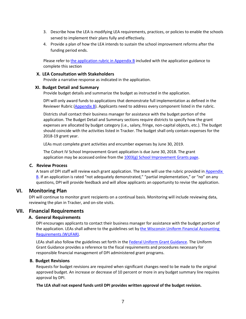- 3. Describe how the LEA is modifying LEA requirements, practices, or policies to enable the schools served to implement their plans fully and effectively.
- 4. Provide a plan of how the LEA intends to sustain the school improvement reforms after the funding period ends.

Please refer t[o the application rubric in Appendix B](#page-14-0) included with the application guidance to complete this section

### **X. LEA Consultation with Stakeholders**

Provide a narrative response as indicated in the application.

### **XI. Budget Detail and Summary**

Provide budget details and summarize the budget as instructed in the application.

DPI will only award funds to applications that demonstrate full implementation as defined in the Reviewer Rubric [\(Appendix](#page-14-0) B). Applicants need to address every component listed in the rubric.

Districts shall contact their business manager for assistance with the budget portion of the application. The Budget Detail and Summary sections require districts to specify how the grant expenses are allocated by budget category (i.e., salary, fringe, non-capital objects, etc.). The budget should coincide with the activities listed in Tracker. The budget shall only contain expenses for the 2018-19 grant year.

LEAs must complete grant activities and encumber expenses by June 30, 2019.

The Cohort IV School Improvement Grant application is due June 30, 2018. The grant application may be accessed online from [the 1003\(g\) School Improvement Grants page.](http://dpi.wi.gov/statewide-system-of-support/school-improvement-grants-1003g/forms)

### **C. Review Process**

A team of DPI staff will review each grant application. The team will use the rubric provided in [Appendix](#page-14-0) [B.](#page-14-0) If an application is rated "not adequately demonstrated," "partial implementation," or "no" on any questions, DPI will provide feedback and will allow applicants an opportunity to revise the application.

### **VI. Monitoring Plan**

DPI will continue to monitor grant recipients on a continual basis. Monitoring will include reviewing data, reviewing the plan in Tracker, and on-site visits.

### **VII. Financial Requirements**

### **A. General Requirements**

DPI encourages applicants to contact their business manager for assistance with the budget portion of the application. LEAs shall adhere to the guidelines set by the [Wisconsin Uniform Financial Accounting](http://dpi.wi.gov/sfs/finances/wufar/overview) [Requirements \(WUFAR\).](http://dpi.wi.gov/sfs/finances/wufar/overview)

LEAs shall also follow the guidelines set forth in the Federal [Uniform Grant Guidance.](http://dpi.wi.gov/wisegrants/uniform-grant-guidance) The Uniform Grant Guidance provides a reference to the fiscal requirements and procedures necessary for responsible financial management of DPI administered grant programs.

### **B. Budget Revisions**

Requests for budget revisions are required when significant changes need to be made to the original approved budget. An increase or decrease of 10 percent or more in any budget summary line requires approval by DPI.

 **The LEA shall not expend funds until DPI provides written approval of the budget revision.**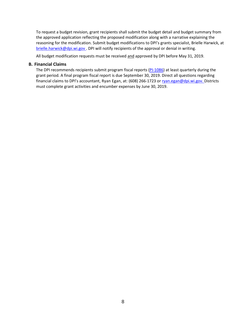To request a budget revision, grant recipients shall submit the budget detail and budget summary from the approved application reflecting the proposed modification along with a narrative explaining the reasoning for the modification. Submit budget modifications to DPI's grants specialist, Brielle Harwick, at [brielle.harwick@dpi.wi.gov](mailto:brielle.harwick@dpi.wi.gov). DPI will notify recipients of the approval or denial in writing.

All budget modification requests must be received and approved by DPI before May 31, 2019.

#### **B. Financial Claims**

The DPI recommends recipients submit program fiscal reports [\(PI-1086\)](https://dpi.wi.gov/sms/fedaids/pi-1086) at least quarterly during the grant period. A final program fiscal report is due September 30, 2019. Direct all questions regarding financial claims to DPI's accountant, Ryan Egan, at: (608) 266-1723 or [ryan.egan@dpi.wi.gov.](mailto:ryan.egan@dpi.wi.gov.) Districts must complete grant activities and encumber expenses by June 30, 2019.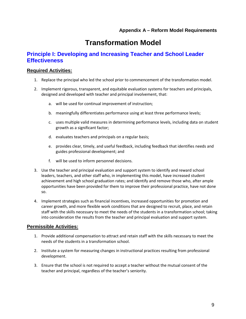## **Transformation Model**

### <span id="page-8-1"></span><span id="page-8-0"></span>**Principle I: Developing and Increasing Teacher and School Leader Effectiveness**

### **Required Activities:**

- 1. Replace the principal who led the school prior to commencement of the transformation model.
- 2. Implement rigorous, transparent, and equitable evaluation systems for teachers and principals, designed and developed with teacher and principal involvement, that:
	- a. will be used for continual improvement of instruction;
	- b. meaningfully differentiates performance using at least three performance levels;
	- c. uses multiple valid measures in determining performance levels, including data on student growth as a significant factor;
	- d. evaluates teachers and principals on a regular basis;
	- e. provides clear, timely, and useful feedback, including feedback that identifies needs and guides professional development; and
	- f. will be used to inform personnel decisions.
- 3. Use the teacher and principal evaluation and support system to identify and reward school leaders, teachers, and other staff who, in implementing this model, have increased student achievement and high school graduation rates; and identify and remove those who, after ample opportunities have been provided for them to improve their professional practice, have not done so.
- 4. Implement strategies such as financial incentives, increased opportunities for promotion and career growth, and more flexible work conditions that are designed to recruit, place, and retain staff with the skills necessary to meet the needs of the students in a transformation school; taking into consideration the results from the teacher and principal evaluation and support system.

### **Permissible Activities:**

- 1. Provide additional compensation to attract and retain staff with the skills necessary to meet the needs of the students in a transformation school.
- 2. Institute a system for measuring changes in instructional practices resulting from professional development.
- 3. Ensure that the school is not required to accept a teacher without the mutual consent of the teacher and principal, regardless of the teacher's seniority.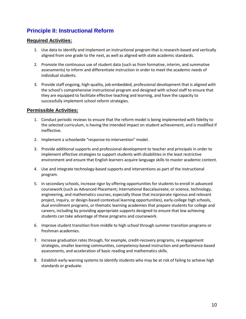### **Principle II: Instructional Reform**

### **Required Activities:**

- 1. Use data to identify and implement an instructional program that is research-based and vertically aligned from one grade to the next, as well as aligned with state academic standards.
- 2. Promote the continuous use of student data (such as from formative, interim, and summative assessments) to inform and differentiate instruction in order to meet the academic needs of individual students.
- 3. Provide staff ongoing, high-quality, job-embedded, professional development that is aligned with the school's comprehensive instructional program and designed with school staff to ensure that they are equipped to facilitate effective teaching and learning, and have the capacity to successfully implement school reform strategies.

### **Permissible Activities:**

- 1. Conduct periodic reviews to ensure that the reform model is being implemented with fidelity to the selected curriculum, is having the intended impact on student achievement, and is modified if ineffective.
- 2. Implement a schoolwide "response-to-intervention" model.
- 3. Provide additional supports and professional development to teacher and principals in order to implement effective strategies to support students with disabilities in the least restrictive environment and ensure that English learners acquire language skills to master academic content.
- 4. Use and integrate technology-based supports and interventions as part of the instructional program.
- 5. In secondary schools, increase rigor by offering opportunities for students to enroll in advanced coursework (such as Advanced Placement; International Baccalaureate; or science, technology, engineering, and mathematics courses, especially those that incorporate rigorous and relevant project, inquiry, or design-based contextual learning opportunities), early-college high schools, dual enrollment programs, or thematic learning academies that prepare students for college and careers, including by providing appropriate supports designed to ensure that low achieving students can take advantage of these programs and coursework.
- 6. Improve student transition from middle to high school through summer transition programs or freshman academies.
- 7. Increase graduation rates through, for example, credit-recovery programs, re-engagement strategies, smaller learning communities, competency-based instruction and performance-based assessments, and acceleration of basic reading and mathematics skills.
- 8. Establish early-warning systems to identify students who may be at risk of failing to achieve high standards or graduate.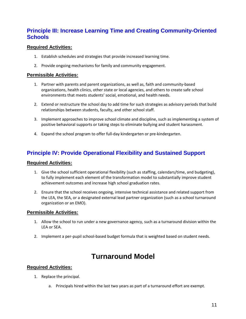### **Principle III: Increase Learning Time and Creating Community-Oriented Schools**

### **Required Activities:**

- 1. Establish schedules and strategies that provide increased learning time.
- 2. Provide ongoing mechanisms for family and community engagement.

### **Permissible Activities:**

- 1. Partner with parents and parent organizations, as well as, faith and community-based organizations, health clinics, other state or local agencies, and others to create safe school environments that meets students' social, emotional, and health needs.
- 2. Extend or restructure the school day to add time for such strategies as advisory periods that build relationships between students, faculty, and other school staff.
- 3. Implement approaches to improve school climate and discipline, such as implementing a system of positive behavioral supports or taking steps to eliminate bullying and student harassment.
- 4. Expand the school program to offer full-day kindergarten or pre-kindergarten.

### **Principle IV: Provide Operational Flexibility and Sustained Support**

### **Required Activities:**

- 1. Give the school sufficient operational flexibility (such as staffing, calendars/time, and budgeting), to fully implement each element of the transformation model to substantially improve student achievement outcomes and increase high school graduation rates.
- 2. Ensure that the school receives ongoing, intensive technical assistance and related support from the LEA, the SEA, or a designated external lead partner organization (such as a school turnaround organization or an EMO).

### **Permissible Activities:**

- 1. Allow the school to run under a new governance agency, such as a turnaround division within the LEA or SEA.
- 2. Implement a per-pupil school-based budget formula that is weighted based on student needs.

## **Turnaround Model**

- 1. Replace the principal.
	- a. Principals hired within the last two years as part of a turnaround effort are exempt.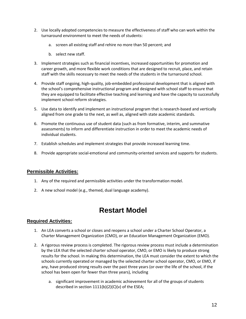- 2. Use locally adopted competencies to measure the effectiveness of staff who can work within the turnaround environment to meet the needs of students:
	- a. screen all existing staff and rehire no more than 50 percent; and
	- b. select new staff.
- 3. Implement strategies such as financial incentives, increased opportunities for promotion and career growth, and more flexible work conditions that are designed to recruit, place, and retain staff with the skills necessary to meet the needs of the students in the turnaround school.
- 4. Provide staff ongoing, high-quality, job-embedded professional development that is aligned with the school's comprehensive instructional program and designed with school staff to ensure that they are equipped to facilitate effective teaching and learning and have the capacity to successfully implement school reform strategies.
- 5. Use data to identify and implement an instructional program that is research-based and vertically aligned from one grade to the next, as well as, aligned with state academic standards.
- 6. Promote the continuous use of student data (such as from formative, interim, and summative assessments) to inform and differentiate instruction in order to meet the academic needs of individual students.
- 7. Establish schedules and implement strategies that provide increased learning time.
- 8. Provide appropriate social-emotional and community-oriented services and supports for students.

### **Permissible Activities:**

- 1. Any of the required and permissible activities under the transformation model.
- 2. A new school model (e.g., themed, dual language academy).

## **Restart Model**

- 1. An LEA converts a school or closes and reopens a school under a Charter School Operator, a Charter Management Organization (CMO), or an Education Management Organization (EMO).
- 2. A rigorous review process is completed. The rigorous review process must include a determination by the LEA that the selected charter school operator, CMO, or EMO is likely to produce strong results for the school. In making this determination, the LEA must consider the extent to which the schools currently operated or managed by the selected charter school operator, CMO, or EMO, if any, have produced strong results over the past three years (or over the life of the school, if the school has been open for fewer than three years), including
	- a. significant improvement in academic achievement for all of the groups of students described in section 1111(b)(2)(C)(v) of the ESEA;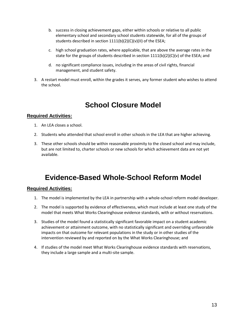- b. success in closing achievement gaps, either within schools or relative to all public elementary school and secondary school students statewide, for all of the groups of students described in section 1111(b)(2)(C)(v)(II) of the ESEA;
- c. high school graduation rates, where applicable, that are above the average rates in the state for the groups of students described in section  $1111(b)(2)(c)(v)$  of the ESEA; and
- d. no significant compliance issues, including in the areas of civil rights, financial management, and student safety.
- 3. A restart model must enroll, within the grades it serves, any former student who wishes to attend the school.

## **School Closure Model**

### **Required Activities:**

- 1. An LEA closes a school.
- 2. Students who attended that school enroll in other schools in the LEA that are higher achieving.
- 3. These other schools should be within reasonable proximity to the closed school and may include, but are not limited to, charter schools or new schools for which achievement data are not yet available.

# **Evidence-Based Whole-School Reform Model**

- 1. The model is implemented by the LEA in partnership with a whole-school reform model developer.
- 2. The model is supported by evidence of effectiveness, which must include at least one study of the model that meets What Works Clearinghouse evidence standards, with or without reservations.
- 3. Studies of the model found a statistically significant favorable impact on a student academic achievement or attainment outcome, with no statistically significant and overriding unfavorable impacts on that outcome for relevant populations in the study or in other studies of the intervention reviewed by and reported on by the What Works Clearinghouse; and
- 4. If studies of the model meet What Works Clearinghouse evidence standards with reservations, they include a large sample and a multi-site sample.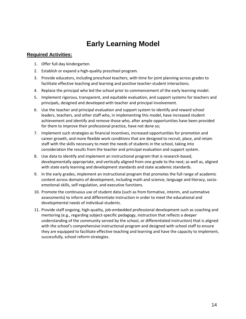# **Early Learning Model**

- 1. Offer full-day kindergarten.
- 2. Establish or expand a high-quality preschool program.
- 3. Provide educators, including preschool teachers, with time for joint planning across grades to facilitate effective teaching and learning and positive teacher-student interactions.
- 4. Replace the principal who led the school prior to commencement of the early learning model.
- 5. Implement rigorous, transparent, and equitable evaluation, and support systems for teachers and principals, designed and developed with teacher and principal involvement.
- 6. Use the teacher and principal evaluation and support system to identify and reward school leaders, teachers, and other staff who, in implementing this model, have increased student achievement and identify and remove those who, after ample opportunities have been provided for them to improve their professional practice, have not done so;
- 7. Implement such strategies as financial incentives, increased opportunities for promotion and career growth, and more flexible work conditions that are designed to recruit, place, and retain staff with the skills necessary to meet the needs of students in the school, taking into consideration the results from the teacher and principal evaluation and support system.
- 8. Use data to identify and implement an instructional program that is research-based, developmentally appropriate, and vertically aligned from one grade to the next; as well as, aligned with state early learning and development standards and state academic standards.
- 9. In the early grades, implement an instructional program that promotes the full range of academic content across domains of development, including math and science, language and literacy, socioemotional skills, self-regulation, and executive functions.
- 10. Promote the continuous use of student data (such as from formative, interim, and summative assessments) to inform and differentiate instruction in order to meet the educational and developmental needs of individual students.
- 11. Provide staff ongoing, high-quality, job-embedded professional development such as coaching and mentoring (e.g., regarding subject-specific pedagogy, instruction that reflects a deeper understanding of the community served by the school, or differentiated instruction) that is aligned with the school's comprehensive instructional program and designed with school staff to ensure they are equipped to facilitate effective teaching and learning and have the capacity to implement, successfully, school reform strategies.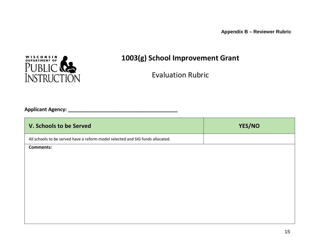**Appendix B – Reviewer Rubric**



# **1003(g) School Improvement Grant**

Evaluation Rubric

<span id="page-14-0"></span>**Applicant Agency: \_\_\_\_\_\_\_\_\_\_\_\_\_\_\_\_\_\_\_\_\_\_\_\_\_\_\_\_\_\_\_\_\_\_\_\_\_\_\_**

| V. Schools to be Served                                                        | YES/NO |
|--------------------------------------------------------------------------------|--------|
| All schools to be served have a reform model selected and SIG funds allocated. |        |
| <b>Comments:</b>                                                               |        |
|                                                                                |        |
|                                                                                |        |
|                                                                                |        |
|                                                                                |        |
|                                                                                |        |
|                                                                                |        |
|                                                                                |        |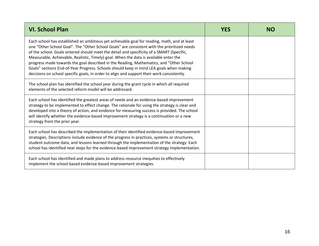| <b>VI. School Plan</b>                                                                                                                                                                                                                                                                                                                                                                                                                                                                                                                                                                                                                                                | <b>YES</b> | NΟ |
|-----------------------------------------------------------------------------------------------------------------------------------------------------------------------------------------------------------------------------------------------------------------------------------------------------------------------------------------------------------------------------------------------------------------------------------------------------------------------------------------------------------------------------------------------------------------------------------------------------------------------------------------------------------------------|------------|----|
| Each school has established an ambitious yet achievable goal for reading, math, and at least<br>one "Other School Goal". The "Other School Goals" are consistent with the prioritized needs<br>of the school. Goals entered should meet the detail and specificity of a SMART (Specific,<br>Measurable, Achievable, Realistic, Timely) goal. When the data is available enter the<br>progress made towards the goal described in the Reading, Mathematics, and "Other School<br>Goals" sections End-of-Year Progress. Schools should keep in mind LEA goals when making<br>decisions on school specific goals, in order to align and support their work consistently. |            |    |
| The school plan has identified the school year during the grant cycle in which all required<br>elements of the selected reform model will be addressed.                                                                                                                                                                                                                                                                                                                                                                                                                                                                                                               |            |    |
| Each school has identified the greatest areas of needs and an evidence-based improvement<br>strategy to be implemented to effect change. The rationale for using the strategy is clear and<br>developed into a theory of action, and evidence for measuring success is provided. The school<br>will identify whether the evidence-based improvement strategy is a continuation or a new<br>strategy from the prior year.                                                                                                                                                                                                                                              |            |    |
| Each school has described the implementation of their identified evidence-based improvement<br>strategies. Descriptions include evidence of the progress in practices, systems or structures,<br>student outcome data, and lessons learned through the implementation of the strategy. Each<br>school has identified next steps for the evidence-based improvement strategy implementation.                                                                                                                                                                                                                                                                           |            |    |
| Each school has identified and made plans to address resource inequities to effectively<br>implement the school based evidence-based improvement strategies.                                                                                                                                                                                                                                                                                                                                                                                                                                                                                                          |            |    |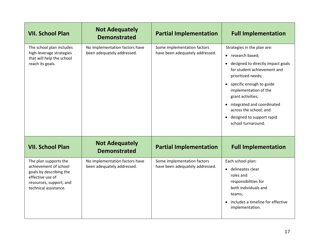| <b>VII. School Plan</b>                                                                                                                           | <b>Not Adequately</b><br><b>Demonstrated</b>                 | <b>Partial Implementation</b>                                  | <b>Full Implementation</b>                                                                                                                                                                                                                                                                                                                                  |
|---------------------------------------------------------------------------------------------------------------------------------------------------|--------------------------------------------------------------|----------------------------------------------------------------|-------------------------------------------------------------------------------------------------------------------------------------------------------------------------------------------------------------------------------------------------------------------------------------------------------------------------------------------------------------|
| The school plan includes<br>high-leverage strategies<br>that will help the school<br>reach its goals.                                             | No implementation factors have<br>been adequately addressed. | Some implementation factors<br>have been adequately addressed. | Strategies in the plan are:<br>• research based;<br>designed to directly impact goals<br>$\bullet$<br>for student achievement and<br>prioritized needs;<br>specific enough to guide<br>$\bullet$<br>implementation of the<br>grant activities;<br>integrated and coordinated<br>across the school; and<br>• designed to support rapid<br>school turnaround. |
| <b>VII. School Plan</b>                                                                                                                           | <b>Not Adequately</b><br><b>Demonstrated</b>                 | <b>Partial Implementation</b>                                  | <b>Full Implementation</b>                                                                                                                                                                                                                                                                                                                                  |
| The plan supports the<br>achievement of school<br>goals by describing the<br>effective use of<br>resources, support, and<br>technical assistance. | No implementation factors have<br>been adequately addressed. | Some implementation factors<br>have been adequately addressed. | Each school plan:<br>• delineates clear<br>roles and<br>responsibilities for<br>both individuals and<br>teams;<br>includes a timeline for effective<br>$\bullet$<br>implementation.                                                                                                                                                                         |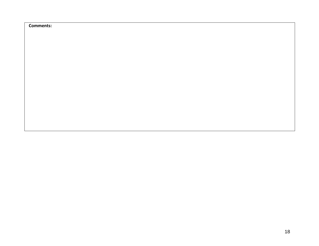**Comments:**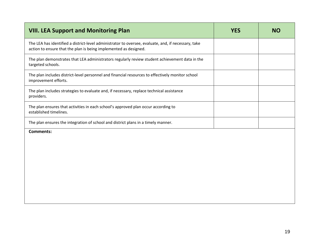| <b>VIII. LEA Support and Monitoring Plan</b>                                                                                                                            | <b>YES</b> | <b>NO</b> |
|-------------------------------------------------------------------------------------------------------------------------------------------------------------------------|------------|-----------|
| The LEA has identified a district-level administrator to oversee, evaluate, and, if necessary, take<br>action to ensure that the plan is being implemented as designed. |            |           |
| The plan demonstrates that LEA administrators regularly review student achievement data in the<br>targeted schools.                                                     |            |           |
| The plan includes district-level personnel and financial resources to effectively monitor school<br>improvement efforts.                                                |            |           |
| The plan includes strategies to evaluate and, if necessary, replace technical assistance<br>providers.                                                                  |            |           |
| The plan ensures that activities in each school's approved plan occur according to<br>established timelines.                                                            |            |           |
| The plan ensures the integration of school and district plans in a timely manner.                                                                                       |            |           |
| <b>Comments:</b>                                                                                                                                                        |            |           |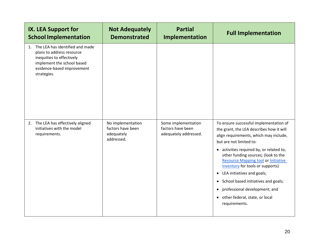| IX. LEA Support for<br><b>School Implementation</b>                                                                                                                     | <b>Not Adequately</b><br><b>Demonstrated</b>                       | <b>Partial</b><br>Implementation                                  | <b>Full Implementation</b>                                                                                                                                                                                                                                                                                                                                                                                                                                                                                                                   |
|-------------------------------------------------------------------------------------------------------------------------------------------------------------------------|--------------------------------------------------------------------|-------------------------------------------------------------------|----------------------------------------------------------------------------------------------------------------------------------------------------------------------------------------------------------------------------------------------------------------------------------------------------------------------------------------------------------------------------------------------------------------------------------------------------------------------------------------------------------------------------------------------|
| 1. The LEA has identified and made<br>plans to address resource<br>inequities to effectively<br>implement the school based<br>evidence-based improvement<br>strategies. |                                                                    |                                                                   |                                                                                                                                                                                                                                                                                                                                                                                                                                                                                                                                              |
| 2. The LEA has effectively aligned<br>initiatives with the model<br>requirements.                                                                                       | No implementation<br>factors have been<br>adequately<br>addressed. | Some implementation<br>factors have been<br>adequately addressed. | To ensure successful implementation of<br>the grant, the LEA describes how it will<br>align requirements, which may include,<br>but are not limited to:<br>activities required by, or related to,<br>$\bullet$<br>other funding sources; (look to the<br><b>Resource Mapping tool or Initiative</b><br>Inventory for tools or supports)<br>LEA initiatives and goals;<br>$\bullet$<br>School based initiatives and goals;<br>$\bullet$<br>professional development; and<br>٠<br>other federal, state, or local<br>$\bullet$<br>requirements. |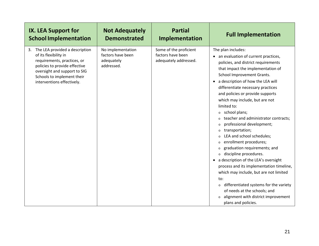| <b>IX. LEA Support for</b>                                                                                                                                                                                                | <b>Not Adequately</b>                                              | <b>Partial</b>                                                       | <b>Full Implementation</b>                                                                                                                                                                                                                                                                                                                                                                                                                                                                                                                                                                                                                                                                                                                                                                                                                                                                                                                         |
|---------------------------------------------------------------------------------------------------------------------------------------------------------------------------------------------------------------------------|--------------------------------------------------------------------|----------------------------------------------------------------------|----------------------------------------------------------------------------------------------------------------------------------------------------------------------------------------------------------------------------------------------------------------------------------------------------------------------------------------------------------------------------------------------------------------------------------------------------------------------------------------------------------------------------------------------------------------------------------------------------------------------------------------------------------------------------------------------------------------------------------------------------------------------------------------------------------------------------------------------------------------------------------------------------------------------------------------------------|
| <b>School Implementation</b>                                                                                                                                                                                              | <b>Demonstrated</b>                                                | Implementation                                                       |                                                                                                                                                                                                                                                                                                                                                                                                                                                                                                                                                                                                                                                                                                                                                                                                                                                                                                                                                    |
| The LEA provided a description<br>3.<br>of its flexibility in<br>requirements, practices, or<br>policies to provide effective<br>oversight and support to SIG<br>Schools to implement their<br>interventions effectively. | No implementation<br>factors have been<br>adequately<br>addressed. | Some of the proficient<br>factors have been<br>adequately addressed. | The plan includes:<br>• an evaluation of current practices,<br>policies, and district requirements<br>that impact the implementation of<br>School Improvement Grants.<br>a description of how the LEA will<br>differentiate necessary practices<br>and policies or provide supports<br>which may include, but are not<br>limited to:<br>o school plans;<br>teacher and administrator contracts;<br>professional development;<br>$\circ$<br>transportation;<br>$\circ$<br>LEA and school schedules;<br>$\circ$<br>enrollment procedures;<br>$\circ$<br>graduation requirements; and<br>$\circ$<br>discipline procedures.<br>$\circ$<br>a description of the LEA's oversight<br>$\bullet$<br>process and its implementation timeline,<br>which may include, but are not limited<br>to:<br>differentiated systems for the variety<br>$\circ$<br>of needs at the schools; and<br>alignment with district improvement<br>$\circ$<br>plans and policies. |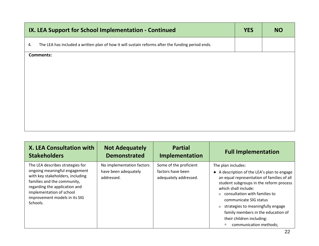| IX. LEA Support for School Implementation - Continued                                                   | <b>YES</b> | <b>NO</b> |
|---------------------------------------------------------------------------------------------------------|------------|-----------|
| The LEA has included a written plan of how it will sustain reforms after the funding period ends.<br>4. |            |           |
| <b>Comments:</b>                                                                                        |            |           |
|                                                                                                         |            |           |
|                                                                                                         |            |           |
|                                                                                                         |            |           |
|                                                                                                         |            |           |
|                                                                                                         |            |           |

| <b>X. LEA Consultation with</b>                                                                                                                                                                                                                | <b>Not Adequately</b>                                           | <b>Partial</b>                                                       | <b>Full Implementation</b>                                                                                                                                                                                                                                                                                                                                                                  |
|------------------------------------------------------------------------------------------------------------------------------------------------------------------------------------------------------------------------------------------------|-----------------------------------------------------------------|----------------------------------------------------------------------|---------------------------------------------------------------------------------------------------------------------------------------------------------------------------------------------------------------------------------------------------------------------------------------------------------------------------------------------------------------------------------------------|
| <b>Stakeholders</b>                                                                                                                                                                                                                            | <b>Demonstrated</b>                                             | Implementation                                                       |                                                                                                                                                                                                                                                                                                                                                                                             |
| The LEA describes strategies for<br>ongoing meaningful engagement<br>with key stakeholders, including<br>families and the community,<br>regarding the application and<br>implementation of school<br>improvement models in its SIG<br>Schools. | No implementation factors<br>have been adequately<br>addressed. | Some of the proficient<br>factors have been<br>adequately addressed. | The plan includes:<br>A description of the LEA's plan to engage<br>an equal representation of families of all<br>student subgroups in the reform process<br>which shall include:<br>o consultation with families to<br>communicate SIG status<br>o strategies to meaningfully engage<br>family members in the education of<br>their children including:<br>communication methods;<br>$\Box$ |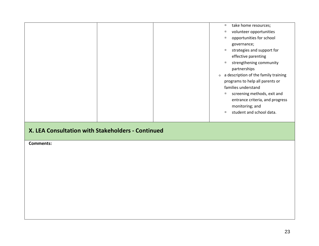|  | $\Box$ | take home resources;                 |
|--|--------|--------------------------------------|
|  | Π      | volunteer opportunities              |
|  | $\Box$ | opportunities for school             |
|  |        | governance;                          |
|  | $\Box$ | strategies and support for           |
|  |        | effective parenting                  |
|  | $\Box$ | strengthening community              |
|  |        | partnerships                         |
|  | O      | a description of the family training |
|  |        | programs to help all parents or      |
|  |        | families understand                  |
|  | $\Box$ | screening methods, exit and          |
|  |        | entrance criteria, and progress      |
|  |        | monitoring; and                      |
|  | $\Box$ | student and school data.             |
|  |        |                                      |
|  |        |                                      |

### **X. LEA Consultation with Stakeholders - Continued**

**Comments:**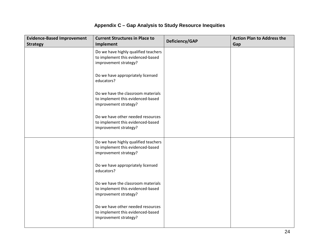### **Appendix C – Gap Analysis to Study Resource Inequities**

| <b>Evidence-Based Improvement</b><br><b>Strategy</b> | <b>Current Structures in Place to</b><br>Implement                                                 | Deficiency/GAP | <b>Action Plan to Address the</b><br>Gap |
|------------------------------------------------------|----------------------------------------------------------------------------------------------------|----------------|------------------------------------------|
|                                                      | Do we have highly qualified teachers<br>to implement this evidenced-based<br>improvement strategy? |                |                                          |
|                                                      | Do we have appropriately licensed<br>educators?                                                    |                |                                          |
|                                                      | Do we have the classroom materials<br>to implement this evidenced-based<br>improvement strategy?   |                |                                          |
|                                                      | Do we have other needed resources<br>to implement this evidenced-based<br>improvement strategy?    |                |                                          |
|                                                      | Do we have highly qualified teachers<br>to implement this evidenced-based<br>improvement strategy? |                |                                          |
|                                                      | Do we have appropriately licensed<br>educators?                                                    |                |                                          |
|                                                      | Do we have the classroom materials<br>to implement this evidenced-based<br>improvement strategy?   |                |                                          |
|                                                      | Do we have other needed resources<br>to implement this evidenced-based<br>improvement strategy?    |                |                                          |